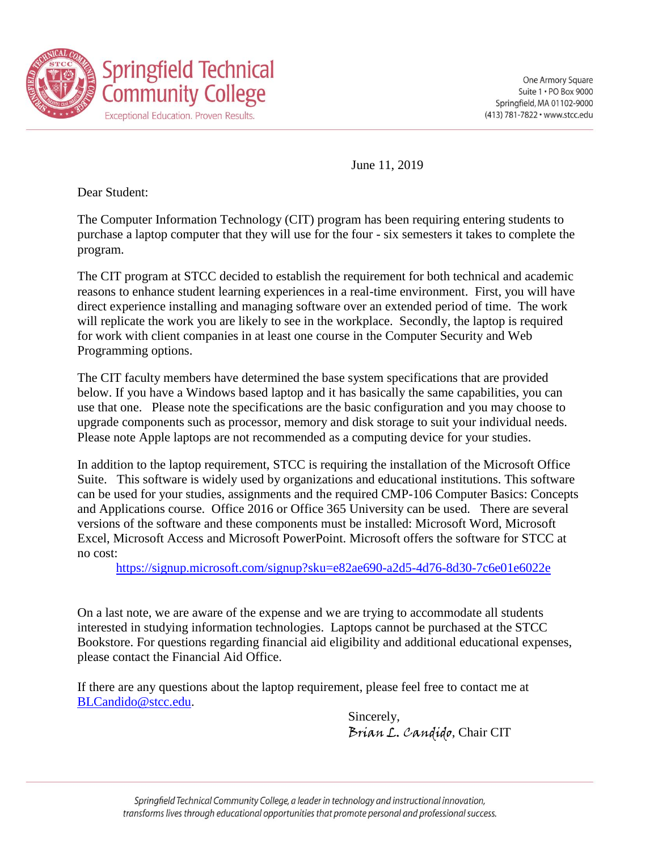

June 11, 2019

Dear Student:

The Computer Information Technology (CIT) program has been requiring entering students to purchase a laptop computer that they will use for the four - six semesters it takes to complete the program.

The CIT program at STCC decided to establish the requirement for both technical and academic reasons to enhance student learning experiences in a real-time environment. First, you will have direct experience installing and managing software over an extended period of time. The work will replicate the work you are likely to see in the workplace. Secondly, the laptop is required for work with client companies in at least one course in the Computer Security and Web Programming options.

The CIT faculty members have determined the base system specifications that are provided below. If you have a Windows based laptop and it has basically the same capabilities, you can use that one. Please note the specifications are the basic configuration and you may choose to upgrade components such as processor, memory and disk storage to suit your individual needs. Please note Apple laptops are not recommended as a computing device for your studies.

In addition to the laptop requirement, STCC is requiring the installation of the Microsoft Office Suite. This software is widely used by organizations and educational institutions. This software can be used for your studies, assignments and the required CMP-106 Computer Basics: Concepts and Applications course. Office 2016 or Office 365 University can be used. There are several versions of the software and these components must be installed: Microsoft Word, Microsoft Excel, Microsoft Access and Microsoft PowerPoint. Microsoft offers the software for STCC at no cost:

<https://signup.microsoft.com/signup?sku=e82ae690-a2d5-4d76-8d30-7c6e01e6022e>

On a last note, we are aware of the expense and we are trying to accommodate all students interested in studying information technologies. Laptops cannot be purchased at the STCC Bookstore. For questions regarding financial aid eligibility and additional educational expenses, please contact the Financial Aid Office.

If there are any questions about the laptop requirement, please feel free to contact me at [BLCandido@stcc.edu.](mailto:BLCandido@stcc.edu)

> Sincerely, Brian L. Candido, Chair CIT